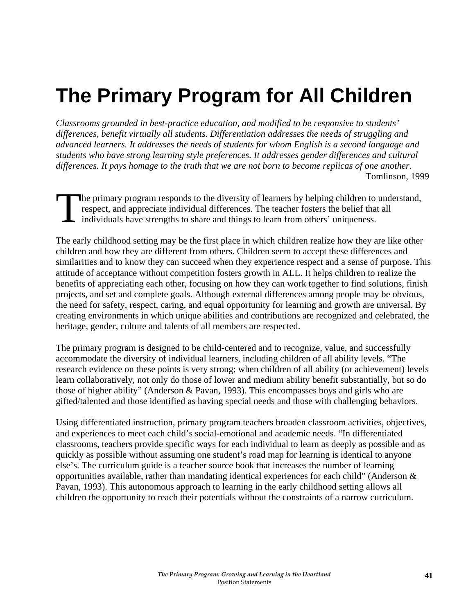# **The Primary Program for All Children**

*Classrooms grounded in best-practice education, and modified to be responsive to students' differences, benefit virtually all students. Differentiation addresses the needs of struggling and advanced learners. It addresses the needs of students for whom English is a second language and students who have strong learning style preferences. It addresses gender differences and cultural differences. It pays homage to the truth that we are not born to become replicas of one another.* Tomlinson, 1999

The primary program responds to the diversity of learners by helping children to understand, respect, and appreciate individual differences. The teacher fosters the belief that all individuals have strengths to share and t respect, and appreciate individual differences. The teacher fosters the belief that all individuals have strengths to share and things to learn from others' uniqueness.

The early childhood setting may be the first place in which children realize how they are like other children and how they are different from others. Children seem to accept these differences and similarities and to know they can succeed when they experience respect and a sense of purpose. This attitude of acceptance without competition fosters growth in ALL. It helps children to realize the benefits of appreciating each other, focusing on how they can work together to find solutions, finish projects, and set and complete goals. Although external differences among people may be obvious, the need for safety, respect, caring, and equal opportunity for learning and growth are universal. By creating environments in which unique abilities and contributions are recognized and celebrated, the heritage, gender, culture and talents of all members are respected.

The primary program is designed to be child-centered and to recognize, value, and successfully accommodate the diversity of individual learners, including children of all ability levels. "The research evidence on these points is very strong; when children of all ability (or achievement) levels learn collaboratively, not only do those of lower and medium ability benefit substantially, but so do those of higher ability" (Anderson & Pavan, 1993). This encompasses boys and girls who are gifted/talented and those identified as having special needs and those with challenging behaviors.

Using differentiated instruction, primary program teachers broaden classroom activities, objectives, and experiences to meet each child's social-emotional and academic needs. "In differentiated classrooms, teachers provide specific ways for each individual to learn as deeply as possible and as quickly as possible without assuming one student's road map for learning is identical to anyone else's. The curriculum guide is a teacher source book that increases the number of learning opportunities available, rather than mandating identical experiences for each child" (Anderson & Pavan, 1993). This autonomous approach to learning in the early childhood setting allows all children the opportunity to reach their potentials without the constraints of a narrow curriculum.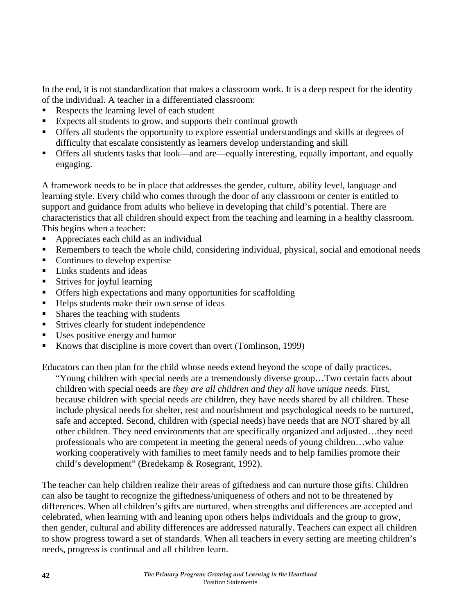In the end, it is not standardization that makes a classroom work. It is a deep respect for the identity of the individual. A teacher in a differentiated classroom:

- Respects the learning level of each student
- Expects all students to grow, and supports their continual growth
- Offers all students the opportunity to explore essential understandings and skills at degrees of difficulty that escalate consistently as learners develop understanding and skill
- Offers all students tasks that look—and are—equally interesting, equally important, and equally engaging.

A framework needs to be in place that addresses the gender, culture, ability level, language and learning style. Every child who comes through the door of any classroom or center is entitled to support and guidance from adults who believe in developing that child's potential. There are characteristics that all children should expect from the teaching and learning in a healthy classroom. This begins when a teacher:

- Appreciates each child as an individual
- Remembers to teach the whole child, considering individual, physical, social and emotional needs
- Continues to develop expertise
- **Links students and ideas**
- Strives for joyful learning
- Offers high expectations and many opportunities for scaffolding
- Helps students make their own sense of ideas
- Shares the teaching with students
- **Strives clearly for student independence**
- Uses positive energy and humor
- Knows that discipline is more covert than overt (Tomlinson, 1999)

Educators can then plan for the child whose needs extend beyond the scope of daily practices.

"Young children with special needs are a tremendously diverse group…Two certain facts about children with special needs are *they are all children and they all have unique needs.* First, because children with special needs are children, they have needs shared by all children. These include physical needs for shelter, rest and nourishment and psychological needs to be nurtured, safe and accepted. Second, children with (special needs) have needs that are NOT shared by all other children. They need environments that are specifically organized and adjusted…they need professionals who are competent in meeting the general needs of young children…who value working cooperatively with families to meet family needs and to help families promote their child's development" (Bredekamp & Rosegrant, 1992).

The teacher can help children realize their areas of giftedness and can nurture those gifts. Children can also be taught to recognize the giftedness/uniqueness of others and not to be threatened by differences. When all children's gifts are nurtured, when strengths and differences are accepted and celebrated, when learning with and leaning upon others helps individuals and the group to grow, then gender, cultural and ability differences are addressed naturally. Teachers can expect all children to show progress toward a set of standards. When all teachers in every setting are meeting children's needs, progress is continual and all children learn.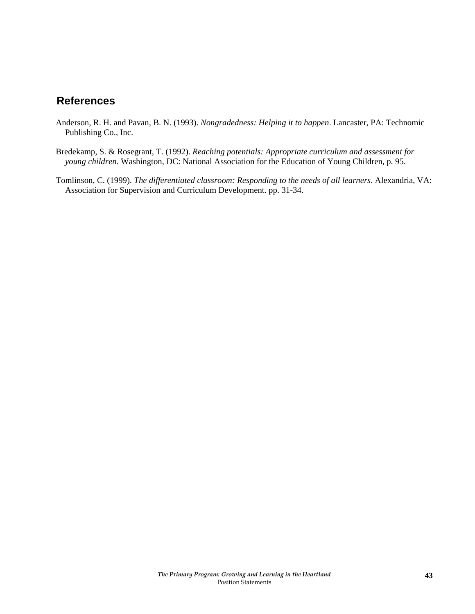### **References**

- Anderson, R. H. and Pavan, B. N. (1993). *Nongradedness: Helping it to happen*. Lancaster, PA: Technomic Publishing Co., Inc.
- Bredekamp, S. & Rosegrant, T. (1992). *Reaching potentials: Appropriate curriculum and assessment for young children.* Washington, DC: National Association for the Education of Young Children, p. 95.
- Tomlinson, C. (1999). *The differentiated classroom: Responding to the needs of all learners*. Alexandria, VA: Association for Supervision and Curriculum Development. pp. 31-34.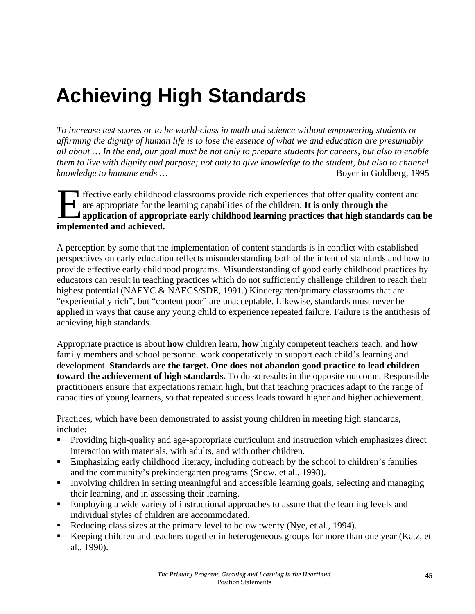# **Achieving High Standards**

*To increase test scores or to be world-class in math and science without empowering students or affirming the dignity of human life is to lose the essence of what we and education are presumably all about … In the end, our goal must be not only to prepare students for careers, but also to enable them to live with dignity and purpose; not only to give knowledge to the student, but also to channel knowledge to humane ends* ... **Example 2018 Example 2018 Boyer in Goldberg, 1995** 

### **T** ffective early childhood classrooms provide rich experiences that offer quality content and are appropriate for the learning capabilities of the children. **It is only through the application of appropriate early childhood learning practices that high standards can be implemented and achieved.**<br> **Examplemented and achieved.**

A perception by some that the implementation of content standards is in conflict with established perspectives on early education reflects misunderstanding both of the intent of standards and how to provide effective early childhood programs. Misunderstanding of good early childhood practices by educators can result in teaching practices which do not sufficiently challenge children to reach their highest potential (NAEYC & NAECS/SDE, 1991.) Kindergarten/primary classrooms that are "experientially rich", but "content poor" are unacceptable. Likewise, standards must never be applied in ways that cause any young child to experience repeated failure. Failure is the antithesis of achieving high standards.

Appropriate practice is about **how** children learn, **how** highly competent teachers teach, and **how** family members and school personnel work cooperatively to support each child's learning and development. **Standards are the target. One does not abandon good practice to lead children toward the achievement of high standards.** To do so results in the opposite outcome. Responsible practitioners ensure that expectations remain high, but that teaching practices adapt to the range of capacities of young learners, so that repeated success leads toward higher and higher achievement.

Practices, which have been demonstrated to assist young children in meeting high standards, include:

- Providing high-quality and age-appropriate curriculum and instruction which emphasizes direct interaction with materials, with adults, and with other children.
- Emphasizing early childhood literacy, including outreach by the school to children's families and the community's prekindergarten programs (Snow, et al., 1998).
- Involving children in setting meaningful and accessible learning goals, selecting and managing their learning, and in assessing their learning.
- **Employing a wide variety of instructional approaches to assure that the learning levels and** individual styles of children are accommodated.
- Reducing class sizes at the primary level to below twenty (Nye, et al., 1994).
- Keeping children and teachers together in heterogeneous groups for more than one year (Katz, et al., 1990).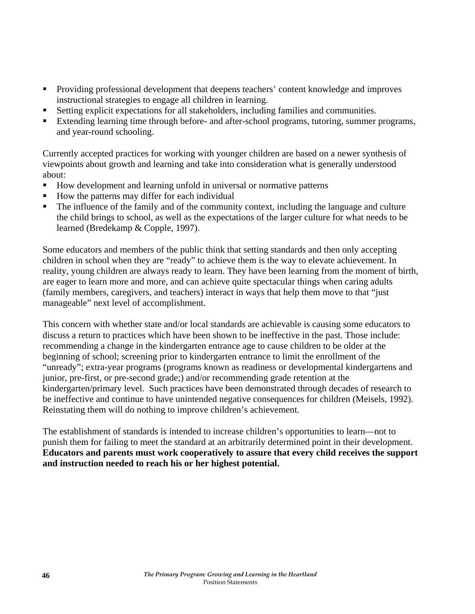- **Providing professional development that deepens teachers' content knowledge and improves** instructional strategies to engage all children in learning.
- Setting explicit expectations for all stakeholders, including families and communities.
- Extending learning time through before- and after-school programs, tutoring, summer programs, and year-round schooling.

Currently accepted practices for working with younger children are based on a newer synthesis of viewpoints about growth and learning and take into consideration what is generally understood about:

- How development and learning unfold in universal or normative patterns
- How the patterns may differ for each individual
- The influence of the family and of the community context, including the language and culture the child brings to school, as well as the expectations of the larger culture for what needs to be learned (Bredekamp & Copple, 1997).

Some educators and members of the public think that setting standards and then only accepting children in school when they are "ready" to achieve them is the way to elevate achievement. In reality, young children are always ready to learn. They have been learning from the moment of birth, are eager to learn more and more, and can achieve quite spectacular things when caring adults (family members, caregivers, and teachers) interact in ways that help them move to that "just manageable" next level of accomplishment.

This concern with whether state and/or local standards are achievable is causing some educators to discuss a return to practices which have been shown to be ineffective in the past. Those include: recommending a change in the kindergarten entrance age to cause children to be older at the beginning of school; screening prior to kindergarten entrance to limit the enrollment of the "unready"; extra-year programs (programs known as readiness or developmental kindergartens and junior, pre-first, or pre-second grade;) and/or recommending grade retention at the kindergarten/primary level. Such practices have been demonstrated through decades of research to be ineffective and continue to have unintended negative consequences for children (Meisels, 1992). Reinstating them will do nothing to improve children's achievement.

The establishment of standards is intended to increase children's opportunities to learn—not to punish them for failing to meet the standard at an arbitrarily determined point in their development. **Educators and parents must work cooperatively to assure that every child receives the support and instruction needed to reach his or her highest potential.**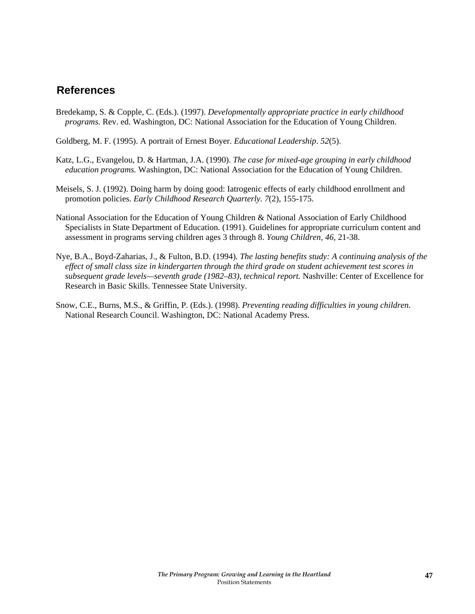#### **References**

- Bredekamp, S. & Copple, C. (Eds.). (1997). *Developmentally appropriate practice in early childhood programs.* Rev. ed. Washington, DC: National Association for the Education of Young Children.
- Goldberg, M. F. (1995). A portrait of Ernest Boyer. *Educational Leadership*. *52*(5).
- Katz, L.G., Evangelou, D. & Hartman, J.A. (1990). *The case for mixed-age grouping in early childhood education programs.* Washington, DC: National Association for the Education of Young Children.
- Meisels, S. J. (1992). Doing harm by doing good: Iatrogenic effects of early childhood enrollment and promotion policies. *Early Childhood Research Quarterly. 7*(2), 155-175.
- National Association for the Education of Young Children & National Association of Early Childhood Specialists in State Department of Education. (1991). Guidelines for appropriate curriculum content and assessment in programs serving children ages 3 through 8. *Young Children, 46*, 21-38.
- Nye, B.A., Boyd-Zaharias, J., & Fulton, B.D. (1994). *The lasting benefits study: A continuing analysis of the effect of small class size in kindergarten through the third grade on student achievement test scores in subsequent grade levels—seventh grade (1982–83), technical report.* Nashville: Center of Excellence for Research in Basic Skills. Tennessee State University.
- Snow, C.E., Burns, M.S., & Griffin, P. (Eds.). (1998). *Preventing reading difficulties in young children.* National Research Council. Washington, DC: National Academy Press.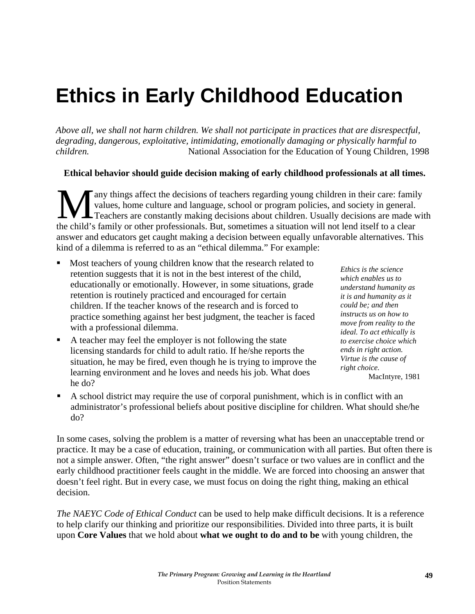# **Ethics in Early Childhood Education**

*Above all, we shall not harm children. We shall not participate in practices that are disrespectful, degrading, dangerous, exploitative, intimidating, emotionally damaging or physically harmful to children.* National Association for the Education of Young Children, 1998

#### **Ethical behavior should guide decision making of early childhood professionals at all times.**

T any things affect the decisions of teachers regarding young children in their care: family values, home culture and language, school or program policies, and society in general. Teachers are constantly making decisions about children. Usually decisions are made with Teachers are constantly making decisions about children in their care: family values, home culture and language, school or program policies, and society in general. Teachers are constantly making decisions about children. answer and educators get caught making a decision between equally unfavorable alternatives. This kind of a dilemma is referred to as an "ethical dilemma." For example:

- Most teachers of young children know that the research related to retention suggests that it is not in the best interest of the child, educationally or emotionally. However, in some situations, grade retention is routinely practiced and encouraged for certain children. If the teacher knows of the research and is forced to practice something against her best judgment, the teacher is faced with a professional dilemma.
- A teacher may feel the employer is not following the state licensing standards for child to adult ratio. If he/she reports the situation, he may be fired, even though he is trying to improve the learning environment and he loves and needs his job. What does he do?

*Ethics is the science which enables us to understand humanity as it is and humanity as it could be; and then instructs us on how to move from reality to the ideal. To act ethically is to exercise choice which ends in right action. Virtue is the cause of right choice.*  MacIntyre, 1981

 A school district may require the use of corporal punishment, which is in conflict with an administrator's professional beliefs about positive discipline for children. What should she/he do?

In some cases, solving the problem is a matter of reversing what has been an unacceptable trend or practice. It may be a case of education, training, or communication with all parties. But often there is not a simple answer. Often, "the right answer" doesn't surface or two values are in conflict and the early childhood practitioner feels caught in the middle. We are forced into choosing an answer that doesn't feel right. But in every case, we must focus on doing the right thing, making an ethical decision.

*The NAEYC Code of Ethical Conduct* can be used to help make difficult decisions. It is a reference to help clarify our thinking and prioritize our responsibilities. Divided into three parts, it is built upon **Core Values** that we hold about **what we ought to do and to be** with young children, the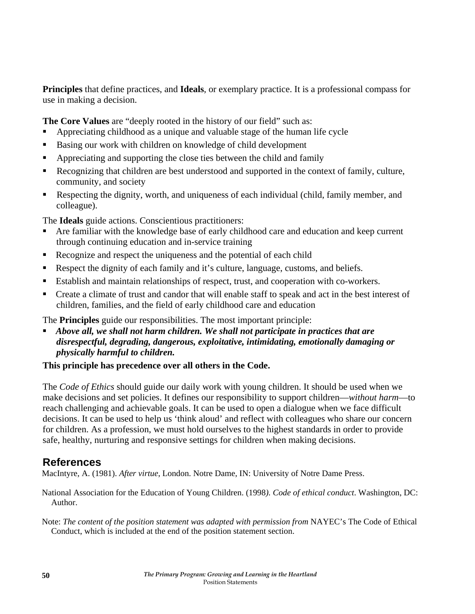**Principles** that define practices, and **Ideals**, or exemplary practice. It is a professional compass for use in making a decision.

**The Core Values** are "deeply rooted in the history of our field" such as:

- Appreciating childhood as a unique and valuable stage of the human life cycle
- Basing our work with children on knowledge of child development
- Appreciating and supporting the close ties between the child and family
- Recognizing that children are best understood and supported in the context of family, culture, community, and society
- Respecting the dignity, worth, and uniqueness of each individual (child, family member, and colleague).

The **Ideals** guide actions. Conscientious practitioners:

- Are familiar with the knowledge base of early childhood care and education and keep current through continuing education and in-service training
- Recognize and respect the uniqueness and the potential of each child
- Respect the dignity of each family and it's culture, language, customs, and beliefs.
- Establish and maintain relationships of respect, trust, and cooperation with co-workers.
- Create a climate of trust and candor that will enable staff to speak and act in the best interest of children, families, and the field of early childhood care and education

The **Principles** guide our responsibilities. The most important principle:

 *Above all, we shall not harm children. We shall not participate in practices that are disrespectful, degrading, dangerous, exploitative, intimidating, emotionally damaging or physically harmful to children.* 

#### **This principle has precedence over all others in the Code.**

The *Code of Ethics* should guide our daily work with young children. It should be used when we make decisions and set policies. It defines our responsibility to support children—*without harm*—to reach challenging and achievable goals. It can be used to open a dialogue when we face difficult decisions. It can be used to help us 'think aloud' and reflect with colleagues who share our concern for children. As a profession, we must hold ourselves to the highest standards in order to provide safe, healthy, nurturing and responsive settings for children when making decisions.

#### **References**

MacIntyre, A. (1981). *After virtue*, London. Notre Dame, IN: University of Notre Dame Press.

National Association for the Education of Young Children. (1998*). Code of ethical conduct*. Washington, DC: Author.

Note: *The content of the position statement was adapted with permission from* NAYEC's The Code of Ethical Conduct, which is included at the end of the position statement section.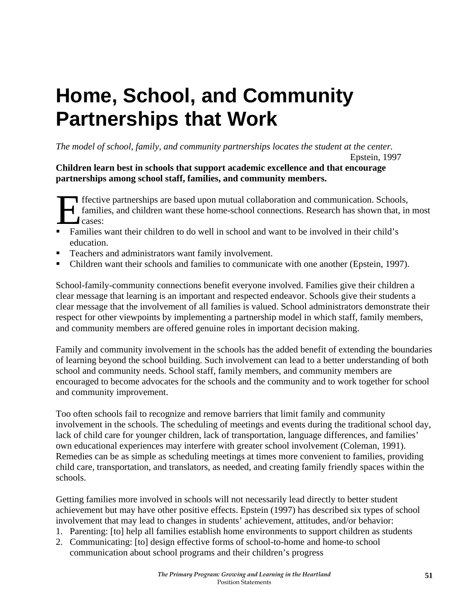# **Home, School, and Community Partnerships that Work**

*The model of school, family, and community partnerships locates the student at the center.* 

Epstein, 1997

**Children learn best in schools that support academic excellence and that encourage partnerships among school staff, families, and community members.** 

ffective partnerships are based upon mutual collaboration and communication. Schools, families, and children want these home-school connections. Research has shown that, in most cases:  $\prod_{\text{cas}}$  ffe

- Families want their children to do well in school and want to be involved in their child's education.
- Teachers and administrators want family involvement.
- Children want their schools and families to communicate with one another (Epstein, 1997).

School-family-community connections benefit everyone involved. Families give their children a clear message that learning is an important and respected endeavor. Schools give their students a clear message that the involvement of all families is valued. School administrators demonstrate their respect for other viewpoints by implementing a partnership model in which staff, family members, and community members are offered genuine roles in important decision making.

Family and community involvement in the schools has the added benefit of extending the boundaries of learning beyond the school building. Such involvement can lead to a better understanding of both school and community needs. School staff, family members, and community members are encouraged to become advocates for the schools and the community and to work together for school and community improvement.

Too often schools fail to recognize and remove barriers that limit family and community involvement in the schools. The scheduling of meetings and events during the traditional school day, lack of child care for younger children, lack of transportation, language differences, and families' own educational experiences may interfere with greater school involvement (Coleman, 1991). Remedies can be as simple as scheduling meetings at times more convenient to families, providing child care, transportation, and translators, as needed, and creating family friendly spaces within the schools.

Getting families more involved in schools will not necessarily lead directly to better student achievement but may have other positive effects. Epstein (1997) has described six types of school involvement that may lead to changes in students' achievement, attitudes, and/or behavior:

- 1. Parenting: [to] help all families establish home environments to support children as students
- 2. Communicating: [to] design effective forms of school-to-home and home-to school communication about school programs and their children's progress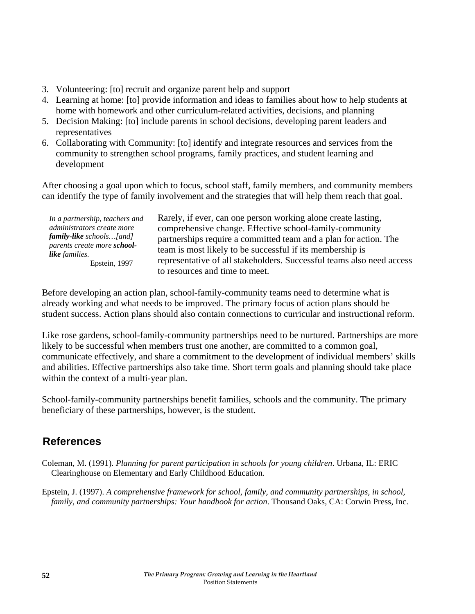- 3. Volunteering: [to] recruit and organize parent help and support
- 4. Learning at home: [to] provide information and ideas to families about how to help students at home with homework and other curriculum-related activities, decisions, and planning
- 5. Decision Making: [to] include parents in school decisions, developing parent leaders and representatives
- 6. Collaborating with Community: [to] identify and integrate resources and services from the community to strengthen school programs, family practices, and student learning and development

After choosing a goal upon which to focus, school staff, family members, and community members can identify the type of family involvement and the strategies that will help them reach that goal.

*In a partnership, teachers and administrators create more family-like schools…[and] parents create more schoollike families.*  Epstein, 1997 Rarely, if ever, can one person working alone create lasting, comprehensive change. Effective school-family-community partnerships require a committed team and a plan for action. The team is most likely to be successful if its membership is representative of all stakeholders. Successful teams also need access to resources and time to meet.

Before developing an action plan, school-family-community teams need to determine what is already working and what needs to be improved. The primary focus of action plans should be student success. Action plans should also contain connections to curricular and instructional reform.

Like rose gardens, school-family-community partnerships need to be nurtured. Partnerships are more likely to be successful when members trust one another, are committed to a common goal, communicate effectively, and share a commitment to the development of individual members' skills and abilities. Effective partnerships also take time. Short term goals and planning should take place within the context of a multi-year plan.

School-family-community partnerships benefit families, schools and the community. The primary beneficiary of these partnerships, however, is the student.

## **References**

Coleman, M. (1991). *Planning for parent participation in schools for young children*. Urbana, IL: ERIC Clearinghouse on Elementary and Early Childhood Education.

Epstein, J. (1997). *A comprehensive framework for school, family, and community partnerships, in school, family, and community partnerships: Your handbook for action*. Thousand Oaks, CA: Corwin Press, Inc.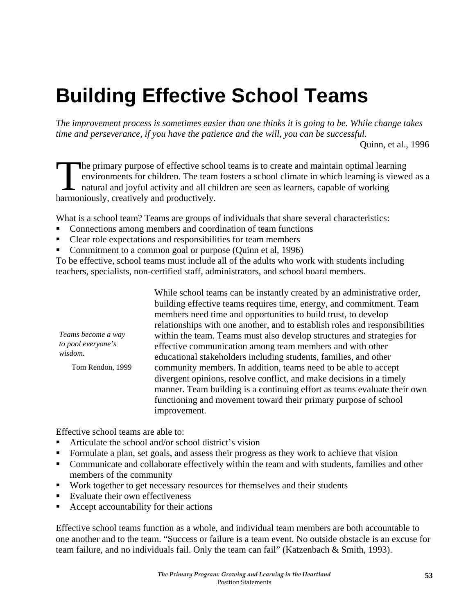# **Building Effective School Teams**

*The improvement process is sometimes easier than one thinks it is going to be. While change takes time and perseverance, if you have the patience and the will, you can be successful.* 

Quinn, et al., 1996

The primary purpose of effective school teams is to create and maintain optimal learning environments for children. The team fosters a school climate in which learning is viewed as a natural and joyful activity and all children are seen as learners, capable of working The primary purpose of effective schoenvironments for children. The team natural and joyful activity and all children harmoniously, creatively and productively.

What is a school team? Teams are groups of individuals that share several characteristics:

- Connections among members and coordination of team functions
- Clear role expectations and responsibilities for team members
- Commitment to a common goal or purpose (Quinn et al, 1996)

To be effective, school teams must include all of the adults who work with students including teachers, specialists, non-certified staff, administrators, and school board members.

Tom Rendon, 1999 While school teams can be instantly created by an administrative order, building effective teams requires time, energy, and commitment. Team members need time and opportunities to build trust, to develop relationships with one another, and to establish roles and responsibilities within the team. Teams must also develop structures and strategies for effective communication among team members and with other educational stakeholders including students, families, and other community members. In addition, teams need to be able to accept divergent opinions, resolve conflict, and make decisions in a timely manner. Team building is a continuing effort as teams evaluate their own functioning and movement toward their primary purpose of school improvement.

Effective school teams are able to:

*Teams become a way to pool everyone's* 

*wisdom.* 

- Articulate the school and/or school district's vision
- Formulate a plan, set goals, and assess their progress as they work to achieve that vision
- Communicate and collaborate effectively within the team and with students, families and other members of the community
- Work together to get necessary resources for themselves and their students
- Evaluate their own effectiveness
- Accept accountability for their actions

Effective school teams function as a whole, and individual team members are both accountable to one another and to the team. "Success or failure is a team event. No outside obstacle is an excuse for team failure, and no individuals fail. Only the team can fail" (Katzenbach & Smith, 1993).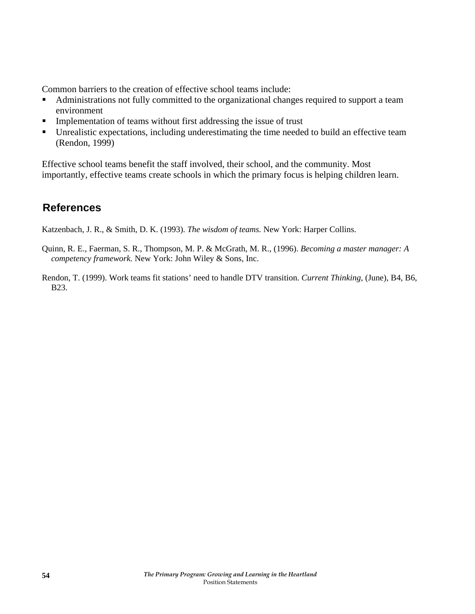Common barriers to the creation of effective school teams include:

- Administrations not fully committed to the organizational changes required to support a team environment
- **Implementation of teams without first addressing the issue of trust**
- Unrealistic expectations, including underestimating the time needed to build an effective team (Rendon, 1999)

Effective school teams benefit the staff involved, their school, and the community. Most importantly, effective teams create schools in which the primary focus is helping children learn.

## **References**

Katzenbach, J. R., & Smith, D. K. (1993). *The wisdom of teams.* New York: Harper Collins.

- Quinn, R. E., Faerman, S. R., Thompson, M. P. & McGrath, M. R., (1996). *Becoming a master manager: A competency framework.* New York: John Wiley & Sons, Inc.
- Rendon, T. (1999). Work teams fit stations' need to handle DTV transition. *Current Thinking,* (June), B4, B6, B23.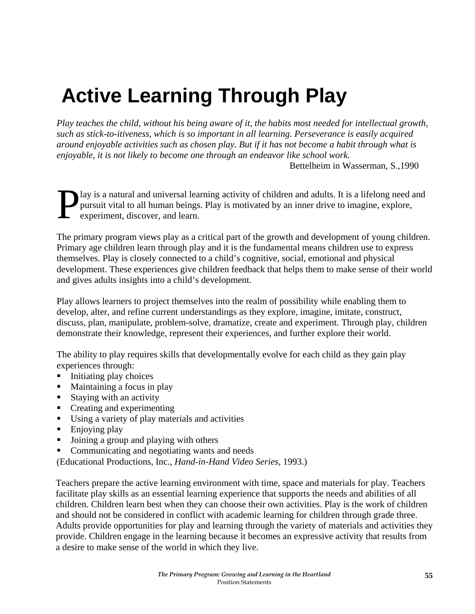# **Active Learning Through Play**

*Play teaches the child, without his being aware of it, the habits most needed for intellectual growth, such as stick-to-itiveness, which is so important in all learning. Perseverance is easily acquired around enjoyable activities such as chosen play. But if it has not become a habit through what is enjoyable, it is not likely to become one through an endeavor like school work.* 

Bettelheim in Wasserman, S.,1990

lay is a natural and universal learning activity of children and adults. It is a lifelong need and pursuit vital to all human beings. Play is motivated by an inner drive to imagine, explore, experiment, discover, and learn.  $\mathbf{P}_{\text{pun}}^{\text{lay}}$ 

The primary program views play as a critical part of the growth and development of young children. Primary age children learn through play and it is the fundamental means children use to express themselves. Play is closely connected to a child's cognitive, social, emotional and physical development. These experiences give children feedback that helps them to make sense of their world and gives adults insights into a child's development.

Play allows learners to project themselves into the realm of possibility while enabling them to develop, alter, and refine current understandings as they explore, imagine, imitate, construct, discuss, plan, manipulate, problem-solve, dramatize, create and experiment. Through play, children demonstrate their knowledge, represent their experiences, and further explore their world.

The ability to play requires skills that developmentally evolve for each child as they gain play experiences through:

- $\blacksquare$  Initiating play choices
- Maintaining a focus in play
- **Staying with an activity**
- Creating and experimenting
- Using a variety of play materials and activities
- $\blacksquare$  Enjoying play
- I Joining a group and playing with others
- Communicating and negotiating wants and needs

(Educational Productions, Inc., *Hand-in-Hand Video Series,* 1993.)

Teachers prepare the active learning environment with time, space and materials for play. Teachers facilitate play skills as an essential learning experience that supports the needs and abilities of all children. Children learn best when they can choose their own activities. Play is the work of children and should not be considered in conflict with academic learning for children through grade three. Adults provide opportunities for play and learning through the variety of materials and activities they provide. Children engage in the learning because it becomes an expressive activity that results from a desire to make sense of the world in which they live.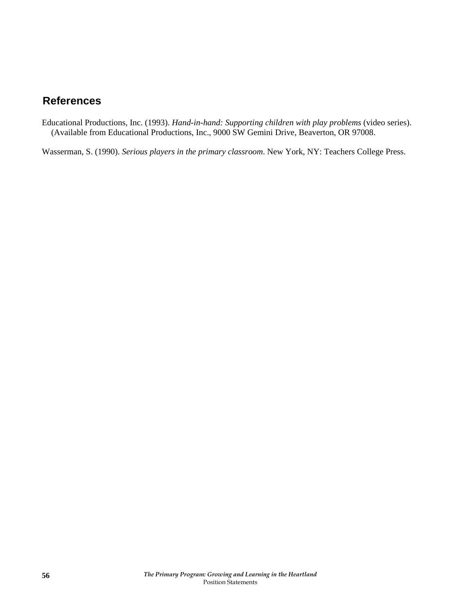## **References**

Educational Productions, Inc. (1993). *Hand-in-hand: Supporting children with play problems* (video series). (Available from Educational Productions, Inc., 9000 SW Gemini Drive, Beaverton, OR 97008.

Wasserman, S. (1990). *Serious players in the primary classroom*. New York, NY: Teachers College Press.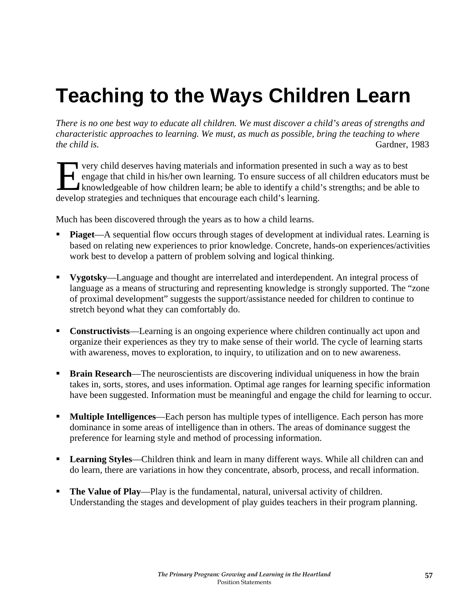# **Teaching to the Ways Children Learn**

*There is no one best way to educate all children. We must discover a child's areas of strengths and characteristic approaches to learning. We must, as much as possible, bring the teaching to where the child is.* Gardner, 1983

**Very child deserves having materials and information presented in such a way as to best** engage that child in his/her own learning. To ensure success of all children educators must be knowledgeable of how children learn; be able to identify a child's strengths; and be able to very child deserves having materials and information presented is engage that child in his/her own learning. To ensure success of a knowledgeable of how children learn; be able to identify a child's develop strategies and

Much has been discovered through the years as to how a child learns.

- **Piaget**—A sequential flow occurs through stages of development at individual rates. Learning is based on relating new experiences to prior knowledge. Concrete, hands-on experiences/activities work best to develop a pattern of problem solving and logical thinking.
- **Vygotsky**—Language and thought are interrelated and interdependent. An integral process of language as a means of structuring and representing knowledge is strongly supported. The "zone of proximal development" suggests the support/assistance needed for children to continue to stretch beyond what they can comfortably do.
- **Constructivists**—Learning is an ongoing experience where children continually act upon and organize their experiences as they try to make sense of their world. The cycle of learning starts with awareness, moves to exploration, to inquiry, to utilization and on to new awareness.
- **Brain Research—The neuroscientists are discovering individual uniqueness in how the brain** takes in, sorts, stores, and uses information. Optimal age ranges for learning specific information have been suggested. Information must be meaningful and engage the child for learning to occur.
- **Multiple Intelligences**—Each person has multiple types of intelligence. Each person has more dominance in some areas of intelligence than in others. The areas of dominance suggest the preference for learning style and method of processing information.
- **Learning Styles**—Children think and learn in many different ways. While all children can and do learn, there are variations in how they concentrate, absorb, process, and recall information.
- **The Value of Play**—Play is the fundamental, natural, universal activity of children. Understanding the stages and development of play guides teachers in their program planning.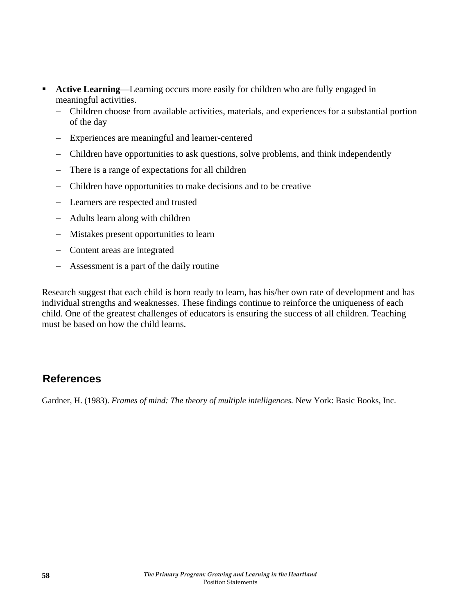- **Active Learning**—Learning occurs more easily for children who are fully engaged in meaningful activities.
	- − Children choose from available activities, materials, and experiences for a substantial portion of the day
	- − Experiences are meaningful and learner-centered
	- − Children have opportunities to ask questions, solve problems, and think independently
	- − There is a range of expectations for all children
	- − Children have opportunities to make decisions and to be creative
	- − Learners are respected and trusted
	- − Adults learn along with children
	- − Mistakes present opportunities to learn
	- − Content areas are integrated
	- − Assessment is a part of the daily routine

Research suggest that each child is born ready to learn, has his/her own rate of development and has individual strengths and weaknesses. These findings continue to reinforce the uniqueness of each child. One of the greatest challenges of educators is ensuring the success of all children. Teaching must be based on how the child learns.

### **References**

Gardner, H. (1983). *Frames of mind: The theory of multiple intelligences.* New York: Basic Books, Inc.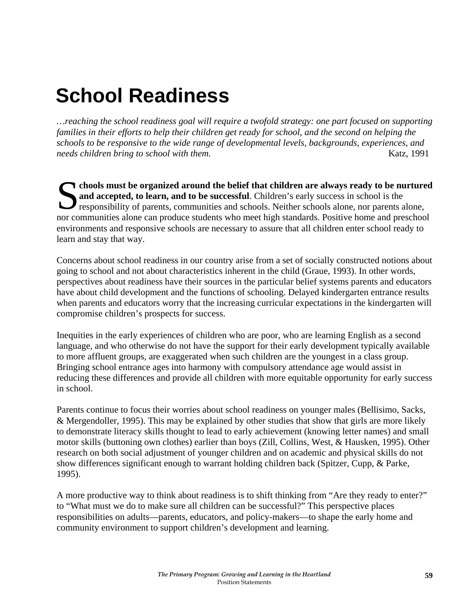# **School Readiness**

*…reaching the school readiness goal will require a twofold strategy: one part focused on supporting families in their efforts to help their children get ready for school, and the second on helping the schools to be responsive to the wide range of developmental levels, backgrounds, experiences, and needs children bring to school with them.*  $Katz, 1991$ 

**chools must be organized around the belief that children are always ready to be nurtured and accepted, to learn, and to be successful. Children's early success in school is the responsibility of parents, communities and s and accepted, to learn, and to be successful**. Children's early success in school is the responsibility of parents, communities and schools. Neither schools alone, nor parents alone, nor communities alone can produce students who meet high standards. Positive home and preschool environments and responsive schools are necessary to assure that all children enter school ready to learn and stay that way.

Concerns about school readiness in our country arise from a set of socially constructed notions about going to school and not about characteristics inherent in the child (Graue, 1993). In other words, perspectives about readiness have their sources in the particular belief systems parents and educators have about child development and the functions of schooling. Delayed kindergarten entrance results when parents and educators worry that the increasing curricular expectations in the kindergarten will compromise children's prospects for success.

Inequities in the early experiences of children who are poor, who are learning English as a second language, and who otherwise do not have the support for their early development typically available to more affluent groups, are exaggerated when such children are the youngest in a class group. Bringing school entrance ages into harmony with compulsory attendance age would assist in reducing these differences and provide all children with more equitable opportunity for early success in school.

Parents continue to focus their worries about school readiness on younger males (Bellisimo, Sacks, & Mergendoller, 1995). This may be explained by other studies that show that girls are more likely to demonstrate literacy skills thought to lead to early achievement (knowing letter names) and small motor skills (buttoning own clothes) earlier than boys (Zill, Collins, West, & Hausken, 1995). Other research on both social adjustment of younger children and on academic and physical skills do not show differences significant enough to warrant holding children back (Spitzer, Cupp, & Parke, 1995).

A more productive way to think about readiness is to shift thinking from "Are they ready to enter?" to "What must we do to make sure all children can be successful?" This perspective places responsibilities on adults—parents, educators, and policy-makers—to shape the early home and community environment to support children's development and learning.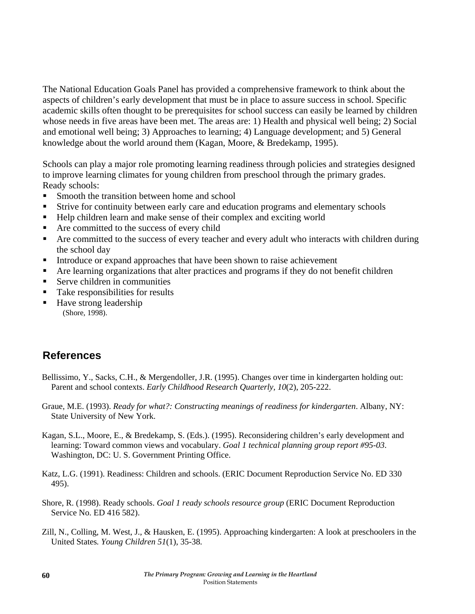The National Education Goals Panel has provided a comprehensive framework to think about the aspects of children's early development that must be in place to assure success in school. Specific academic skills often thought to be prerequisites for school success can easily be learned by children whose needs in five areas have been met. The areas are: 1) Health and physical well being; 2) Social and emotional well being; 3) Approaches to learning; 4) Language development; and 5) General knowledge about the world around them (Kagan, Moore, & Bredekamp, 1995).

Schools can play a major role promoting learning readiness through policies and strategies designed to improve learning climates for young children from preschool through the primary grades. Ready schools:

- Smooth the transition between home and school
- Strive for continuity between early care and education programs and elementary schools
- Help children learn and make sense of their complex and exciting world
- Are committed to the success of every child
- Are committed to the success of every teacher and every adult who interacts with children during the school day
- Introduce or expand approaches that have been shown to raise achievement
- Are learning organizations that alter practices and programs if they do not benefit children
- Serve children in communities
- Take responsibilities for results
- Have strong leadership (Shore, 1998).

### **References**

- Bellissimo, Y., Sacks, C.H., & Mergendoller, J.R. (1995). Changes over time in kindergarten holding out: Parent and school contexts. *Early Childhood Research Quarterly, 10*(2), 205-222.
- Graue, M.E. (1993). *Ready for what?: Constructing meanings of readiness for kindergarten*. Albany, NY: State University of New York.
- Kagan, S.L., Moore, E., & Bredekamp, S. (Eds.). (1995). Reconsidering children's early development and learning: Toward common views and vocabulary. *Goal 1 technical planning group report #95-03*. Washington, DC: U. S. Government Printing Office.
- Katz, L.G. (1991). Readiness: Children and schools. (ERIC Document Reproduction Service No. ED 330 495).
- Shore, R. (1998). Ready schools. *Goal 1 ready schools resource group* (ERIC Document Reproduction Service No. ED 416 582).
- Zill, N., Colling, M. West, J., & Hausken, E. (1995). Approaching kindergarten: A look at preschoolers in the United States*. Young Children 51*(1), 35-38*.*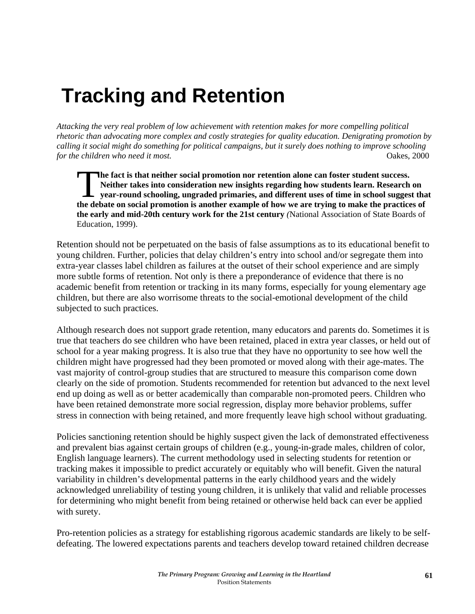# **Tracking and Retention**

*Attacking the very real problem of low achievement with retention makes for more compelling political rhetoric than advocating more complex and costly strategies for quality education. Denigrating promotion by calling it social might do something for political campaigns, but it surely does nothing to improve schooling for the children who need it most.* Oakes, 2000

**he fact is that neither social promotion nor retention alone can foster student success. Neither takes into consideration new insights regarding how students learn. Research on year-round schooling, ungraded primaries, and different uses of time in school suggest that the fact is that neither social promotion nor retention alone can foster student success.**<br>Neither takes into consideration new insights regarding how students learn. Research on<br>year-round schooling, ungraded primaries, **the early and mid-20th century work for the 21st century** *(*National Association of State Boards of Education, 1999).

Retention should not be perpetuated on the basis of false assumptions as to its educational benefit to young children. Further, policies that delay children's entry into school and/or segregate them into extra-year classes label children as failures at the outset of their school experience and are simply more subtle forms of retention. Not only is there a preponderance of evidence that there is no academic benefit from retention or tracking in its many forms, especially for young elementary age children, but there are also worrisome threats to the social-emotional development of the child subjected to such practices.

Although research does not support grade retention, many educators and parents do. Sometimes it is true that teachers do see children who have been retained, placed in extra year classes, or held out of school for a year making progress. It is also true that they have no opportunity to see how well the children might have progressed had they been promoted or moved along with their age-mates. The vast majority of control-group studies that are structured to measure this comparison come down clearly on the side of promotion. Students recommended for retention but advanced to the next level end up doing as well as or better academically than comparable non-promoted peers. Children who have been retained demonstrate more social regression, display more behavior problems, suffer stress in connection with being retained, and more frequently leave high school without graduating.

Policies sanctioning retention should be highly suspect given the lack of demonstrated effectiveness and prevalent bias against certain groups of children (e.g., young-in-grade males, children of color, English language learners). The current methodology used in selecting students for retention or tracking makes it impossible to predict accurately or equitably who will benefit. Given the natural variability in children's developmental patterns in the early childhood years and the widely acknowledged unreliability of testing young children, it is unlikely that valid and reliable processes for determining who might benefit from being retained or otherwise held back can ever be applied with surety.

Pro-retention policies as a strategy for establishing rigorous academic standards are likely to be selfdefeating. The lowered expectations parents and teachers develop toward retained children decrease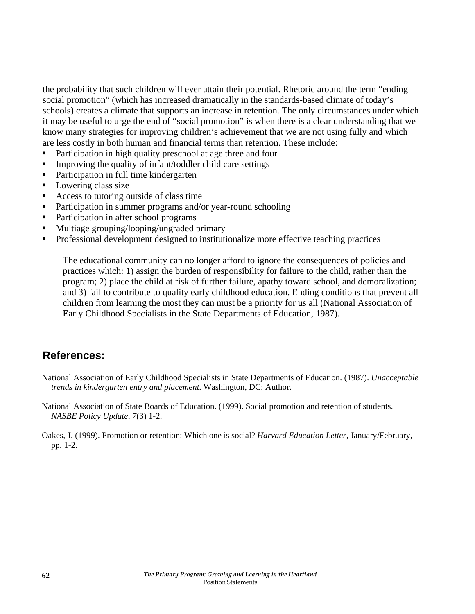the probability that such children will ever attain their potential. Rhetoric around the term "ending social promotion" (which has increased dramatically in the standards-based climate of today's schools) creates a climate that supports an increase in retention. The only circumstances under which it may be useful to urge the end of "social promotion" is when there is a clear understanding that we know many strategies for improving children's achievement that we are not using fully and which are less costly in both human and financial terms than retention. These include:

- **Participation in high quality preschool at age three and four**
- Improving the quality of infant/toddler child care settings
- **Participation in full time kindergarten**
- **Lowering class size**
- Access to tutoring outside of class time
- Participation in summer programs and/or year-round schooling
- Participation in after school programs
- Multiage grouping/looping/ungraded primary
- Professional development designed to institutionalize more effective teaching practices

The educational community can no longer afford to ignore the consequences of policies and practices which: 1) assign the burden of responsibility for failure to the child, rather than the program; 2) place the child at risk of further failure, apathy toward school, and demoralization; and 3) fail to contribute to quality early childhood education. Ending conditions that prevent all children from learning the most they can must be a priority for us all (National Association of Early Childhood Specialists in the State Departments of Education, 1987).

#### **References:**

National Association of Early Childhood Specialists in State Departments of Education. (1987). *Unacceptable trends in kindergarten entry and placement*. Washington, DC: Author.

National Association of State Boards of Education. (1999). Social promotion and retention of students. *NASBE Policy Update, 7*(3) 1-2.

Oakes, J. (1999). Promotion or retention: Which one is social? *Harvard Education Letter,* January/February, pp. 1-2.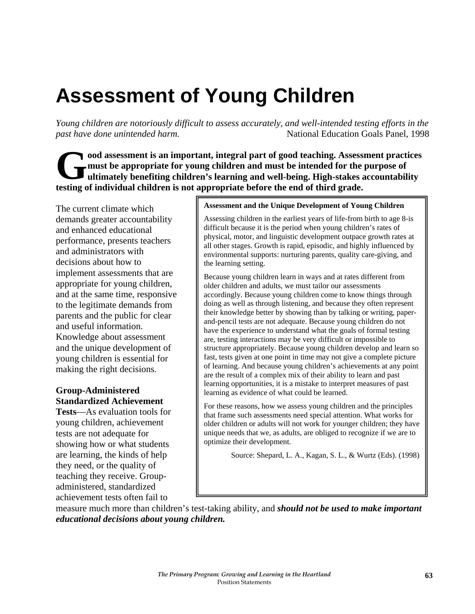# **Assessment of Young Children**

*Young children are notoriously difficult to assess accurately, and well-intended testing efforts in the past have done unintended harm.* National Education Goals Panel, 1998

**ood assessment is an important, integral part of good teaching. Assessment practices must be appropriate for young children and must be intended for the purpose of ultimately benefiting children's learning and well-being. High-stakes accountability the Conducer of the system of the system of the system of solutions. Assessing of individual children is not appropriate before the end of third grade.** 

The current climate which demands greater accountability and enhanced educational performance, presents teachers and administrators with decisions about how to implement assessments that are appropriate for young children, and at the same time, responsive to the legitimate demands from parents and the public for clear and useful information. Knowledge about assessment and the unique development of young children is essential for making the right decisions.

#### **Group-Administered Standardized Achievement**

**Tests**—As evaluation tools for young children, achievement tests are not adequate for showing how or what students are learning, the kinds of help they need, or the quality of teaching they receive. Groupadministered, standardized achievement tests often fail to

#### **Assessment and the Unique Development of Young Children**

Assessing children in the earliest years of life-from birth to age 8-is difficult because it is the period when young children's rates of physical, motor, and linguistic development outpace growth rates at all other stages. Growth is rapid, episodic, and highly influenced by environmental supports: nurturing parents, quality care-giving, and the learning setting.

Because young children learn in ways and at rates different from older children and adults, we must tailor our assessments accordingly. Because young children come to know things through doing as well as through listening, and because they often represent their knowledge better by showing than by talking or writing, paperand-pencil tests are not adequate. Because young children do not have the experience to understand what the goals of formal testing are, testing interactions may be very difficult or impossible to structure appropriately. Because young children develop and learn so fast, tests given at one point in time may not give a complete picture of learning. And because young children's achievements at any point are the result of a complex mix of their ability to learn and past learning opportunities, it is a mistake to interpret measures of past learning as evidence of what could be learned.

For these reasons, how we assess young children and the principles that frame such assessments need special attention. What works for older children or adults will not work for younger children; they have unique needs that we, as adults, are obliged to recognize if we are to optimize their development.

Source: Shepard, L. A., Kagan, S. L., & Wurtz (Eds). (1998)

measure much more than children's test-taking ability, and *should not be used to make important educational decisions about young children.*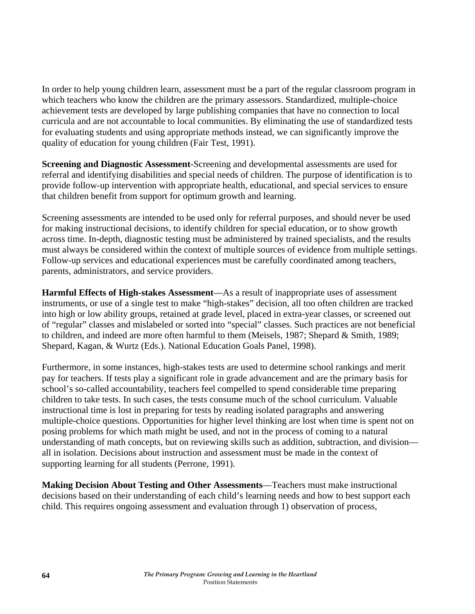In order to help young children learn, assessment must be a part of the regular classroom program in which teachers who know the children are the primary assessors. Standardized, multiple-choice achievement tests are developed by large publishing companies that have no connection to local curricula and are not accountable to local communities. By eliminating the use of standardized tests for evaluating students and using appropriate methods instead, we can significantly improve the quality of education for young children (Fair Test, 1991).

**Screening and Diagnostic Assessment**-Screening and developmental assessments are used for referral and identifying disabilities and special needs of children. The purpose of identification is to provide follow-up intervention with appropriate health, educational, and special services to ensure that children benefit from support for optimum growth and learning.

Screening assessments are intended to be used only for referral purposes, and should never be used for making instructional decisions, to identify children for special education, or to show growth across time. In-depth, diagnostic testing must be administered by trained specialists, and the results must always be considered within the context of multiple sources of evidence from multiple settings. Follow-up services and educational experiences must be carefully coordinated among teachers, parents, administrators, and service providers.

**Harmful Effects of High-stakes Assessment**—As a result of inappropriate uses of assessment instruments, or use of a single test to make "high-stakes" decision, all too often children are tracked into high or low ability groups, retained at grade level, placed in extra-year classes, or screened out of "regular" classes and mislabeled or sorted into "special" classes. Such practices are not beneficial to children, and indeed are more often harmful to them (Meisels, 1987; Shepard & Smith, 1989; Shepard, Kagan, & Wurtz (Eds.). National Education Goals Panel, 1998).

Furthermore, in some instances, high-stakes tests are used to determine school rankings and merit pay for teachers. If tests play a significant role in grade advancement and are the primary basis for school's so-called accountability, teachers feel compelled to spend considerable time preparing children to take tests. In such cases, the tests consume much of the school curriculum. Valuable instructional time is lost in preparing for tests by reading isolated paragraphs and answering multiple-choice questions. Opportunities for higher level thinking are lost when time is spent not on posing problems for which math might be used, and not in the process of coming to a natural understanding of math concepts, but on reviewing skills such as addition, subtraction, and division all in isolation. Decisions about instruction and assessment must be made in the context of supporting learning for all students (Perrone, 1991).

**Making Decision About Testing and Other Assessments**—Teachers must make instructional decisions based on their understanding of each child's learning needs and how to best support each child. This requires ongoing assessment and evaluation through 1) observation of process,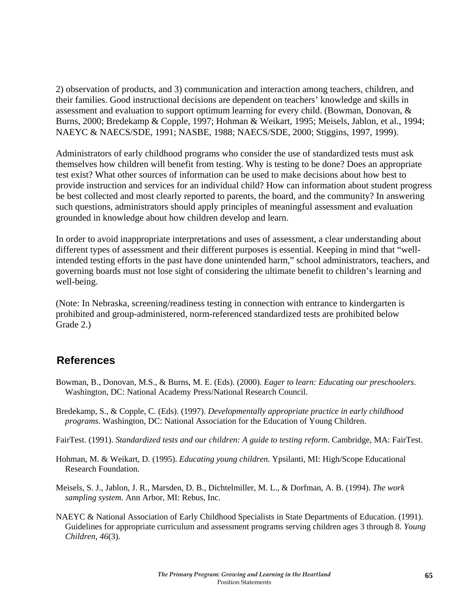2) observation of products, and 3) communication and interaction among teachers, children, and their families. Good instructional decisions are dependent on teachers' knowledge and skills in assessment and evaluation to support optimum learning for every child. (Bowman, Donovan, & Burns, 2000; Bredekamp & Copple, 1997; Hohman & Weikart, 1995; Meisels, Jablon, et al., 1994; NAEYC & NAECS/SDE, 1991; NASBE, 1988; NAECS/SDE, 2000; Stiggins, 1997, 1999).

Administrators of early childhood programs who consider the use of standardized tests must ask themselves how children will benefit from testing. Why is testing to be done? Does an appropriate test exist? What other sources of information can be used to make decisions about how best to provide instruction and services for an individual child? How can information about student progress be best collected and most clearly reported to parents, the board, and the community? In answering such questions, administrators should apply principles of meaningful assessment and evaluation grounded in knowledge about how children develop and learn.

In order to avoid inappropriate interpretations and uses of assessment, a clear understanding about different types of assessment and their different purposes is essential. Keeping in mind that "wellintended testing efforts in the past have done unintended harm," school administrators, teachers, and governing boards must not lose sight of considering the ultimate benefit to children's learning and well-being.

(Note: In Nebraska, screening/readiness testing in connection with entrance to kindergarten is prohibited and group-administered, norm-referenced standardized tests are prohibited below Grade 2.)

### **References**

- Bowman, B., Donovan, M.S., & Burns, M. E. (Eds). (2000). *Eager to learn: Educating our preschoolers*. Washington, DC: National Academy Press/National Research Council.
- Bredekamp, S., & Copple, C. (Eds). (1997). *Developmentally appropriate practice in early childhood programs*. Washington, DC: National Association for the Education of Young Children.
- FairTest. (1991). *Standardized tests and our children: A guide to testing reform*. Cambridge, MA: FairTest.
- Hohman, M. & Weikart, D. (1995). *Educating young children.* Ypsilanti, MI: High/Scope Educational Research Foundation.
- Meisels, S. J., Jablon, J. R., Marsden, D. B., Dichtelmiller, M. L., & Dorfman, A. B. (1994). *The work sampling system.* Ann Arbor, MI: Rebus, Inc.
- NAEYC & National Association of Early Childhood Specialists in State Departments of Education. (1991). Guidelines for appropriate curriculum and assessment programs serving children ages 3 through 8. *Young Children*, *46*(3).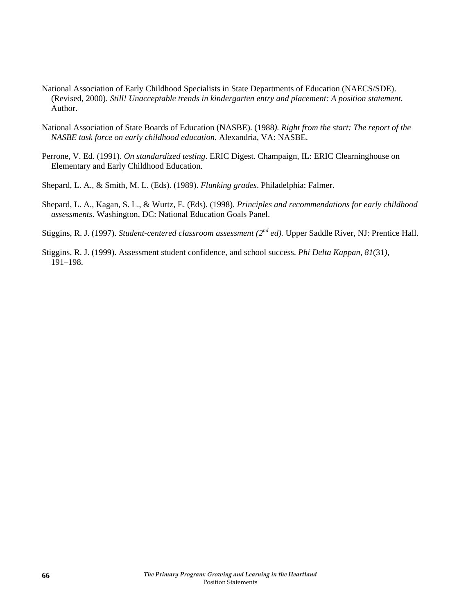- National Association of Early Childhood Specialists in State Departments of Education (NAECS/SDE). (Revised, 2000). *Still! Unacceptable trends in kindergarten entry and placement: A position statement*. Author.
- National Association of State Boards of Education (NASBE). (1988*). Right from the start: The report of the NASBE task force on early childhood education.* Alexandria, VA: NASBE.
- Perrone, V. Ed. (1991). *On standardized testing*. ERIC Digest. Champaign, IL: ERIC Clearninghouse on Elementary and Early Childhood Education.
- Shepard, L. A., & Smith, M. L. (Eds). (1989). *Flunking grades*. Philadelphia: Falmer.
- Shepard, L. A., Kagan, S. L., & Wurtz, E. (Eds). (1998). *Principles and recommendations for early childhood assessments*. Washington, DC: National Education Goals Panel.
- Stiggins, R. J. (1997). *Student-centered classroom assessment (2nd ed).* Upper Saddle River, NJ: Prentice Hall.
- Stiggins, R. J. (1999). Assessment student confidence, and school success. *Phi Delta Kappan, 81*(31*),* 191–198.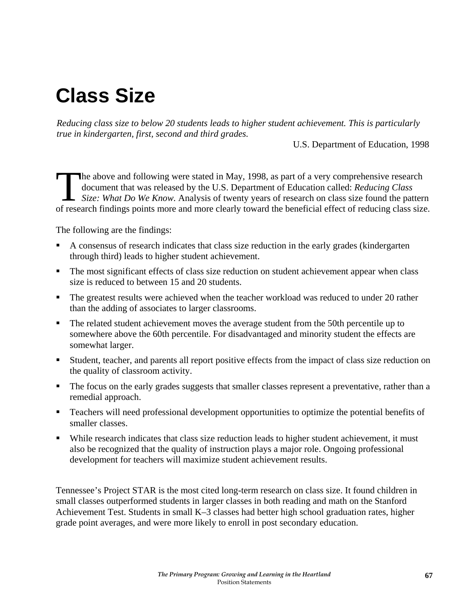# **Class Size**

*Reducing class size to below 20 students leads to higher student achievement. This is particularly true in kindergarten, first, second and third grades.* 

U.S. Department of Education, 1998

he above and following were stated in May, 1998, as part of a very comprehensive research document that was released by the U.S. Department of Education called: *Reducing Class*  The above and following were stated in May, 1998, as part of a very comprehensive research document that was released by the U.S. Department of Education called: *Reducing Class Size: What Do We Know.* Analysis of twenty y of research findings points more and more clearly toward the beneficial effect of reducing class size.

The following are the findings:

- A consensus of research indicates that class size reduction in the early grades (kindergarten through third) leads to higher student achievement.
- The most significant effects of class size reduction on student achievement appear when class size is reduced to between 15 and 20 students.
- The greatest results were achieved when the teacher workload was reduced to under 20 rather than the adding of associates to larger classrooms.
- The related student achievement moves the average student from the 50th percentile up to somewhere above the 60th percentile. For disadvantaged and minority student the effects are somewhat larger.
- Student, teacher, and parents all report positive effects from the impact of class size reduction on the quality of classroom activity.
- The focus on the early grades suggests that smaller classes represent a preventative, rather than a remedial approach.
- **Teachers will need professional development opportunities to optimize the potential benefits of** smaller classes.
- While research indicates that class size reduction leads to higher student achievement, it must also be recognized that the quality of instruction plays a major role. Ongoing professional development for teachers will maximize student achievement results.

Tennessee's Project STAR is the most cited long-term research on class size. It found children in small classes outperformed students in larger classes in both reading and math on the Stanford Achievement Test. Students in small K–3 classes had better high school graduation rates, higher grade point averages, and were more likely to enroll in post secondary education.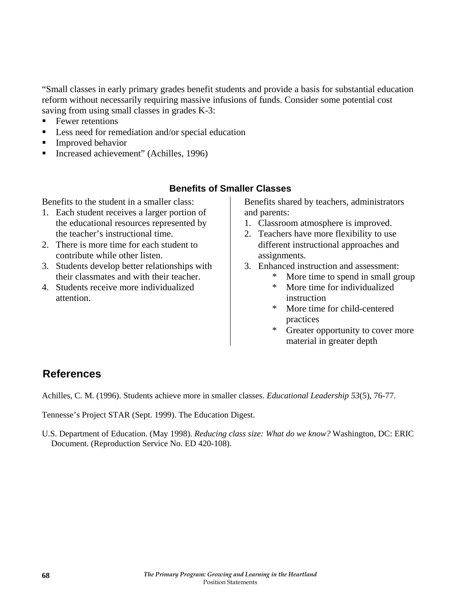"Small classes in early primary grades benefit students and provide a basis for substantial education reform without necessarily requiring massive infusions of funds. Consider some potential cost saving from using small classes in grades K-3:

- **Fewer retentions**
- Less need for remediation and/or special education
- **Improved behavior**
- Increased achievement" (Achilles, 1996)

#### **Benefits of Smaller Classes**

Benefits to the student in a smaller class:

- 1. Each student receives a larger portion of the educational resources represented by the teacher's instructional time.
- 2. There is more time for each student to contribute while other listen.
- 3. Students develop better relationships with their classmates and with their teacher.
- 4. Students receive more individualized attention.

Benefits shared by teachers, administrators and parents:

- 1. Classroom atmosphere is improved.
- 2. Teachers have more flexibility to use different instructional approaches and assignments.
- 3. Enhanced instruction and assessment:
	- More time to spend in small group
	- More time for individualized instruction
	- \* More time for child-centered practices
	- \* Greater opportunity to cover more material in greater depth

### **References**

Achilles, C. M. (1996). Students achieve more in smaller classes. *Educational Leadership 53*(5), 76-77.

Tennesse's Project STAR (Sept. 1999). The Education Digest.

U.S. Department of Education. (May 1998). *Reducing class size: What do we know?* Washington, DC: ERIC Document. (Reproduction Service No. ED 420-108).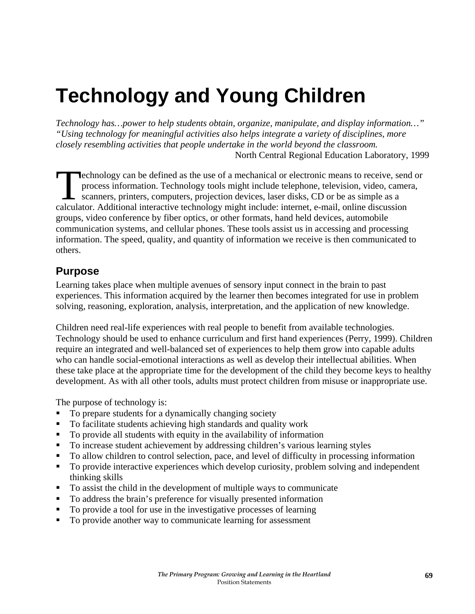# **Technology and Young Children**

*Technology has…power to help students obtain, organize, manipulate, and display information…" "Using technology for meaningful activities also helps integrate a variety of disciplines, more closely resembling activities that people undertake in the world beyond the classroom.*  North Central Regional Education Laboratory, 1999

echnology can be defined as the use of a mechanical or electronic means to receive, send or process information. Technology tools might include telephone, television, video, camera, scanners, printers, computers, projection devices, laser disks, CD or be as simple as a **Calculator.** Additional interactive technology might include telephone, television, video, came scanners, printers, computers, projection devices, laser disks, CD or be as simple as a calculator. Additional interactive te groups, video conference by fiber optics, or other formats, hand held devices, automobile communication systems, and cellular phones. These tools assist us in accessing and processing information. The speed, quality, and quantity of information we receive is then communicated to others.

### **Purpose**

Learning takes place when multiple avenues of sensory input connect in the brain to past experiences. This information acquired by the learner then becomes integrated for use in problem solving, reasoning, exploration, analysis, interpretation, and the application of new knowledge.

Children need real-life experiences with real people to benefit from available technologies. Technology should be used to enhance curriculum and first hand experiences (Perry, 1999). Children require an integrated and well-balanced set of experiences to help them grow into capable adults who can handle social-emotional interactions as well as develop their intellectual abilities. When these take place at the appropriate time for the development of the child they become keys to healthy development. As with all other tools, adults must protect children from misuse or inappropriate use.

The purpose of technology is:

- To prepare students for a dynamically changing society
- To facilitate students achieving high standards and quality work
- To provide all students with equity in the availability of information
- To increase student achievement by addressing children's various learning styles
- To allow children to control selection, pace, and level of difficulty in processing information
- To provide interactive experiences which develop curiosity, problem solving and independent thinking skills
- To assist the child in the development of multiple ways to communicate
- To address the brain's preference for visually presented information
- To provide a tool for use in the investigative processes of learning
- To provide another way to communicate learning for assessment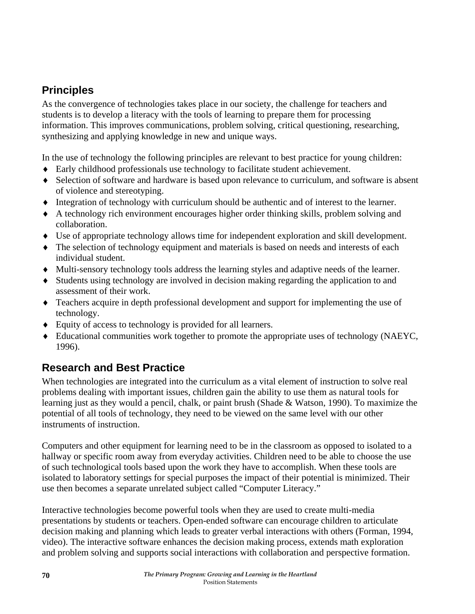# **Principles**

As the convergence of technologies takes place in our society, the challenge for teachers and students is to develop a literacy with the tools of learning to prepare them for processing information. This improves communications, problem solving, critical questioning, researching, synthesizing and applying knowledge in new and unique ways.

In the use of technology the following principles are relevant to best practice for young children:

- ♦ Early childhood professionals use technology to facilitate student achievement.
- ♦ Selection of software and hardware is based upon relevance to curriculum, and software is absent of violence and stereotyping.
- ♦ Integration of technology with curriculum should be authentic and of interest to the learner.
- ♦ A technology rich environment encourages higher order thinking skills, problem solving and collaboration.
- ♦ Use of appropriate technology allows time for independent exploration and skill development.
- ♦ The selection of technology equipment and materials is based on needs and interests of each individual student.
- ♦ Multi-sensory technology tools address the learning styles and adaptive needs of the learner.
- ♦ Students using technology are involved in decision making regarding the application to and assessment of their work.
- ♦ Teachers acquire in depth professional development and support for implementing the use of technology.
- ♦ Equity of access to technology is provided for all learners.
- ♦ Educational communities work together to promote the appropriate uses of technology (NAEYC, 1996).

# **Research and Best Practice**

When technologies are integrated into the curriculum as a vital element of instruction to solve real problems dealing with important issues, children gain the ability to use them as natural tools for learning just as they would a pencil, chalk, or paint brush (Shade & Watson, 1990). To maximize the potential of all tools of technology, they need to be viewed on the same level with our other instruments of instruction.

Computers and other equipment for learning need to be in the classroom as opposed to isolated to a hallway or specific room away from everyday activities. Children need to be able to choose the use of such technological tools based upon the work they have to accomplish. When these tools are isolated to laboratory settings for special purposes the impact of their potential is minimized. Their use then becomes a separate unrelated subject called "Computer Literacy."

Interactive technologies become powerful tools when they are used to create multi-media presentations by students or teachers. Open-ended software can encourage children to articulate decision making and planning which leads to greater verbal interactions with others (Forman, 1994, video). The interactive software enhances the decision making process, extends math exploration and problem solving and supports social interactions with collaboration and perspective formation.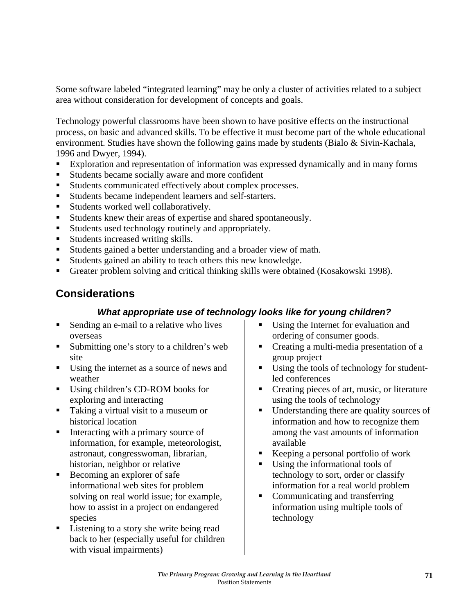Some software labeled "integrated learning" may be only a cluster of activities related to a subject area without consideration for development of concepts and goals.

Technology powerful classrooms have been shown to have positive effects on the instructional process, on basic and advanced skills. To be effective it must become part of the whole educational environment. Studies have shown the following gains made by students (Bialo & Sivin-Kachala, 1996 and Dwyer, 1994).

- Exploration and representation of information was expressed dynamically and in many forms
- Students became socially aware and more confident
- Students communicated effectively about complex processes.
- Students became independent learners and self-starters.
- Students worked well collaboratively.
- Students knew their areas of expertise and shared spontaneously.
- Students used technology routinely and appropriately.
- Students increased writing skills.
- Students gained a better understanding and a broader view of math.
- Students gained an ability to teach others this new knowledge.
- Greater problem solving and critical thinking skills were obtained (Kosakowski 1998).

## **Considerations**

#### *What appropriate use of technology looks like for young children?*

- Sending an e-mail to a relative who lives overseas
- Submitting one's story to a children's web site
- Using the internet as a source of news and weather
- Using children's CD-ROM books for exploring and interacting
- Taking a virtual visit to a museum or historical location
- Interacting with a primary source of information, for example, meteorologist, astronaut, congresswoman, librarian, historian, neighbor or relative
- Becoming an explorer of safe informational web sites for problem solving on real world issue; for example, how to assist in a project on endangered species
- Listening to a story she write being read back to her (especially useful for children with visual impairments)
- Using the Internet for evaluation and ordering of consumer goods.
- Creating a multi-media presentation of a group project
- Using the tools of technology for studentled conferences
- Creating pieces of art, music, or literature using the tools of technology
- Understanding there are quality sources of information and how to recognize them among the vast amounts of information available
- Keeping a personal portfolio of work
- Using the informational tools of technology to sort, order or classify information for a real world problem
- Communicating and transferring information using multiple tools of technology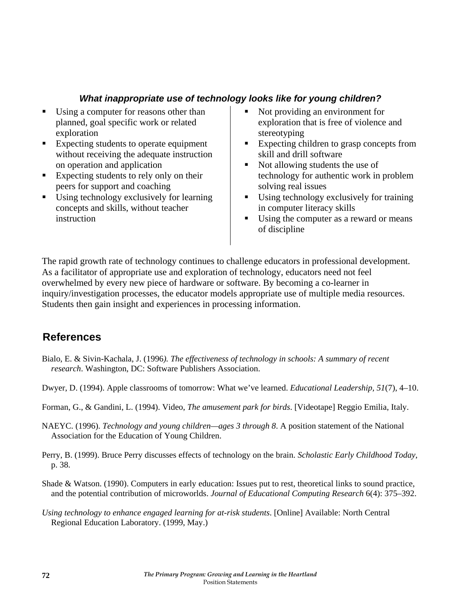#### *What inappropriate use of technology looks like for young children?*

- Using a computer for reasons other than planned, goal specific work or related exploration
- Expecting students to operate equipment without receiving the adequate instruction on operation and application
- Expecting students to rely only on their peers for support and coaching
- Using technology exclusively for learning concepts and skills, without teacher instruction
- Not providing an environment for exploration that is free of violence and stereotyping
- Expecting children to grasp concepts from skill and drill software
- Not allowing students the use of technology for authentic work in problem solving real issues
- Using technology exclusively for training in computer literacy skills
- Using the computer as a reward or means of discipline

The rapid growth rate of technology continues to challenge educators in professional development. As a facilitator of appropriate use and exploration of technology, educators need not feel overwhelmed by every new piece of hardware or software. By becoming a co-learner in inquiry/investigation processes, the educator models appropriate use of multiple media resources. Students then gain insight and experiences in processing information.

### **References**

- Bialo, E. & Sivin-Kachala, J. (1996*). The effectiveness of technology in schools: A summary of recent research*. Washington, DC: Software Publishers Association.
- Dwyer, D. (1994). Apple classrooms of tomorrow: What we've learned. *Educational Leadership, 51*(7), 4–10.
- Forman, G., & Gandini, L. (1994). Video, *The amusement park for birds*. [Videotape] Reggio Emilia, Italy.
- NAEYC. (1996). *Technology and young children—ages 3 through 8*. A position statement of the National Association for the Education of Young Children.
- Perry, B. (1999). Bruce Perry discusses effects of technology on the brain. *Scholastic Early Childhood Today*, p. 38.
- Shade & Watson. (1990). Computers in early education: Issues put to rest, theoretical links to sound practice, and the potential contribution of microworlds. *Journal of Educational Computing Research* 6(4): 375–392.
- *Using technology to enhance engaged learning for at-risk students*. [Online] Available: North Central Regional Education Laboratory. (1999, May.)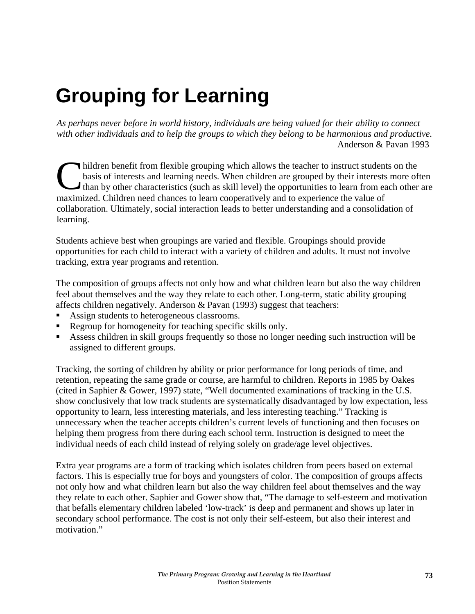# **Grouping for Learning**

*As perhaps never before in world history, individuals are being valued for their ability to connect with other individuals and to help the groups to which they belong to be harmonious and productive.*  Anderson & Pavan 1993

hildren benefit from flexible grouping which allows the teacher to instruct students on the basis of interests and learning needs. When children are grouped by their interests more often than by other characteristics (such as skill level) the opportunities to learn from each other are maximized by their interests more often than by other characteristics (such as skill level) the opportunities to learn from maximized. Children need chances to learn cooperatively and to experience the value of collaboration. Ultimately, social interaction leads to better understanding and a consolidation of learning.

Students achieve best when groupings are varied and flexible. Groupings should provide opportunities for each child to interact with a variety of children and adults. It must not involve tracking, extra year programs and retention.

The composition of groups affects not only how and what children learn but also the way children feel about themselves and the way they relate to each other. Long-term, static ability grouping affects children negatively. Anderson & Pavan (1993) suggest that teachers:

- Assign students to heterogeneous classrooms.
- Regroup for homogeneity for teaching specific skills only.
- Assess children in skill groups frequently so those no longer needing such instruction will be assigned to different groups.

Tracking, the sorting of children by ability or prior performance for long periods of time, and retention, repeating the same grade or course, are harmful to children. Reports in 1985 by Oakes (cited in Saphier & Gower, 1997) state, "Well documented examinations of tracking in the U.S. show conclusively that low track students are systematically disadvantaged by low expectation, less opportunity to learn, less interesting materials, and less interesting teaching." Tracking is unnecessary when the teacher accepts children's current levels of functioning and then focuses on helping them progress from there during each school term. Instruction is designed to meet the individual needs of each child instead of relying solely on grade/age level objectives.

Extra year programs are a form of tracking which isolates children from peers based on external factors. This is especially true for boys and youngsters of color. The composition of groups affects not only how and what children learn but also the way children feel about themselves and the way they relate to each other. Saphier and Gower show that, "The damage to self-esteem and motivation that befalls elementary children labeled 'low-track' is deep and permanent and shows up later in secondary school performance. The cost is not only their self-esteem, but also their interest and motivation."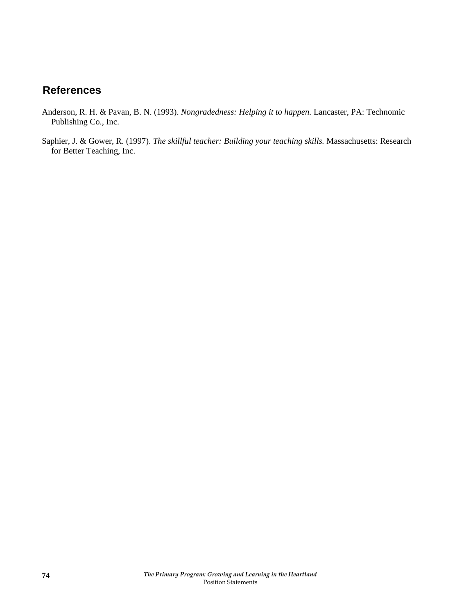### **References**

- Anderson, R. H. & Pavan, B. N. (1993). *Nongradedness: Helping it to happen.* Lancaster, PA: Technomic Publishing Co., Inc.
- Saphier, J. & Gower, R. (1997). *The skillful teacher: Building your teaching skills.* Massachusetts: Research for Better Teaching, Inc.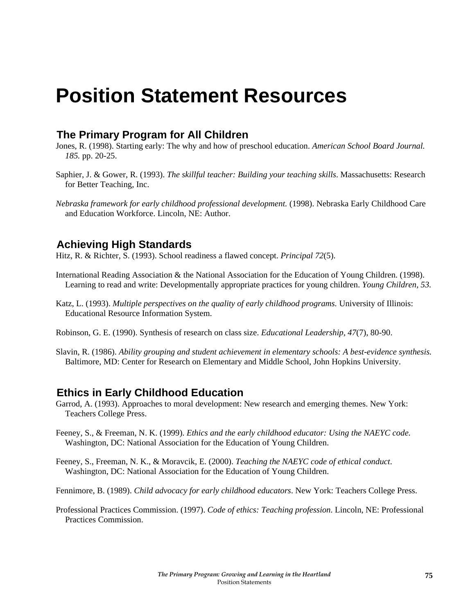# **Position Statement Resources**

#### **The Primary Program for All Children**

- Jones, R. (1998). Starting early: The why and how of preschool education. *American School Board Journal. 185.* pp. 20-25.
- Saphier, J. & Gower, R. (1993). *The skillful teacher: Building your teaching skills*. Massachusetts: Research for Better Teaching, Inc.
- *Nebraska framework for early childhood professional development.* (1998). Nebraska Early Childhood Care and Education Workforce. Lincoln, NE: Author.

#### **Achieving High Standards**

Hitz, R. & Richter, S. (1993). School readiness a flawed concept. *Principal 72*(5).

- International Reading Association & the National Association for the Education of Young Children. (1998). Learning to read and write: Developmentally appropriate practices for young children. *Young Children, 53.*
- Katz, L. (1993). *Multiple perspectives on the quality of early childhood programs.* University of Illinois: Educational Resource Information System.
- Robinson, G. E. (1990). Synthesis of research on class size. *Educational Leadership, 47*(7), 80-90.
- Slavin, R. (1986). *Ability grouping and student achievement in elementary schools: A best-evidence synthesis.* Baltimore, MD: Center for Research on Elementary and Middle School, John Hopkins University.

#### **Ethics in Early Childhood Education**

- Garrod, A. (1993). Approaches to moral development: New research and emerging themes. New York: Teachers College Press.
- Feeney, S., & Freeman, N. K. (1999). *Ethics and the early childhood educator: Using the NAEYC code.* Washington, DC: National Association for the Education of Young Children.
- Feeney, S., Freeman, N. K., & Moravcik, E. (2000). *Teaching the NAEYC code of ethical conduct*. Washington, DC: National Association for the Education of Young Children.
- Fennimore, B. (1989). *Child advocacy for early childhood educators*. New York: Teachers College Press.
- Professional Practices Commission. (1997). *Code of ethics: Teaching profession*. Lincoln, NE: Professional Practices Commission.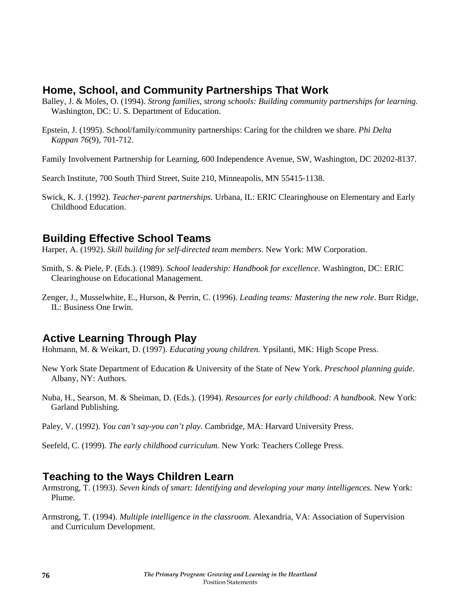#### **Home, School, and Community Partnerships That Work**

- Balley, J. & Moles, O. (1994). *Strong families, strong schools: Building community partnerships for learning.* Washington, DC: U. S. Department of Education.
- Epstein, J. (1995). School/family/community partnerships: Caring for the children we share. *Phi Delta Kappan 76*(9), 701-712.
- Family Involvement Partnership for Learning, 600 Independence Avenue, SW, Washington, DC 20202-8137.

Search Institute, 700 South Third Street, Suite 210, Minneapolis, MN 55415-1138.

Swick, K. J. (1992). *Teacher-parent partnerships.* Urbana, IL: ERIC Clearinghouse on Elementary and Early Childhood Education.

## **Building Effective School Teams**

Harper, A. (1992). *Skill building for self-directed team members*. New York: MW Corporation.

- Smith, S. & Piele, P. (Eds.). (1989). *School leadership: Handbook for excellence*. Washington, DC: ERIC Clearinghouse on Educational Management.
- Zenger, J., Musselwhite, E., Hurson, & Perrin, C. (1996). *Leading teams: Mastering the new role*. Burr Ridge, IL: Business One Irwin.

## **Active Learning Through Play**

Hohmann, M. & Weikart, D. (1997). *Educating young children.* Ypsilanti, MK: High Scope Press.

- New York State Department of Education & University of the State of New York. *Preschool planning guide.* Albany, NY: Authors.
- Nuba, H., Searson, M. & Sheiman, D. (Eds.). (1994). *Resources for early childhood: A handbook.* New York: Garland Publishing.
- Paley, V. (1992). *You can't say-you can't play.* Cambridge, MA: Harvard University Press.
- Seefeld, C. (1999). *The early childhood curriculum.* New York: Teachers College Press.

### **Teaching to the Ways Children Learn**

- Armstrong, T. (1993). *Seven kinds of smart: Identifying and developing your many intelligences*. New York: Plume.
- Armstrong, T. (1994). *Multiple intelligence in the classroom*. Alexandria, VA: Association of Supervision and Curriculum Development.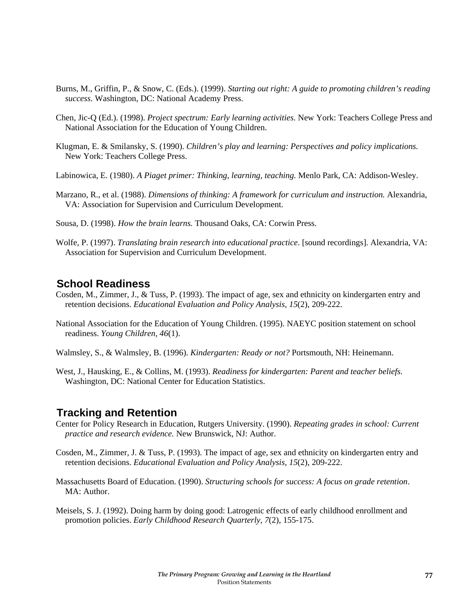- Burns, M., Griffin, P., & Snow, C. (Eds.). (1999). *Starting out right: A guide to promoting children's reading success*. Washington, DC: National Academy Press.
- Chen, Jic-Q (Ed.). (1998). *Project spectrum: Early learning activities.* New York: Teachers College Press and National Association for the Education of Young Children.
- Klugman, E. & Smilansky, S. (1990). *Children's play and learning: Perspectives and policy implications.* New York: Teachers College Press.
- Labinowica, E. (1980). *A Piaget primer: Thinking, learning, teaching.* Menlo Park, CA: Addison-Wesley.
- Marzano, R., et al. (1988). *Dimensions of thinking: A framework for curriculum and instruction.* Alexandria, VA: Association for Supervision and Curriculum Development.
- Sousa, D. (1998). *How the brain learns.* Thousand Oaks, CA: Corwin Press.
- Wolfe, P. (1997). *Translating brain research into educational practice*. [sound recordings]. Alexandria, VA: Association for Supervision and Curriculum Development.

#### **School Readiness**

- Cosden, M., Zimmer, J., & Tuss, P. (1993). The impact of age, sex and ethnicity on kindergarten entry and retention decisions. *Educational Evaluation and Policy Analysis, 15*(2), 209-222.
- National Association for the Education of Young Children. (1995). NAEYC position statement on school readiness. *Young Children, 46*(1).
- Walmsley, S., & Walmsley, B. (1996). *Kindergarten: Ready or not?* Portsmouth, NH: Heinemann.
- West, J., Hausking, E., & Collins, M. (1993). *Readiness for kindergarten: Parent and teacher beliefs.*  Washington, DC: National Center for Education Statistics.

#### **Tracking and Retention**

- Center for Policy Research in Education, Rutgers University. (1990). *Repeating grades in school: Current practice and research evidence.* New Brunswick, NJ: Author.
- Cosden, M., Zimmer, J. & Tuss, P. (1993). The impact of age, sex and ethnicity on kindergarten entry and retention decisions. *Educational Evaluation and Policy Analysis, 15*(2), 209-222.
- Massachusetts Board of Education. (1990). *Structuring schools for success: A focus on grade retention*. MA: Author.
- Meisels, S. J. (1992). Doing harm by doing good: Latrogenic effects of early childhood enrollment and promotion policies. *Early Childhood Research Quarterly, 7*(2), 155-175.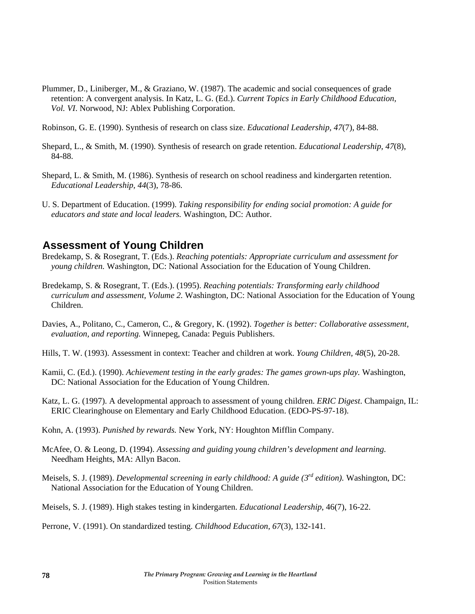- Plummer, D., Liniberger, M., & Graziano, W. (1987). The academic and social consequences of grade retention: A convergent analysis. In Katz, L. G. (Ed.). *Current Topics in Early Childhood Education, Vol. VI*. Norwood, NJ: Ablex Publishing Corporation.
- Robinson, G. E. (1990). Synthesis of research on class size. *Educational Leadership, 47*(7), 84-88.
- Shepard, L., & Smith, M. (1990). Synthesis of research on grade retention. *Educational Leadership, 47*(8), 84-88.
- Shepard, L. & Smith, M. (1986). Synthesis of research on school readiness and kindergarten retention. *Educational Leadership, 44*(3), 78-86.
- U. S. Department of Education. (1999). *Taking responsibility for ending social promotion: A guide for educators and state and local leaders.* Washington, DC: Author.

### **Assessment of Young Children**

- Bredekamp, S. & Rosegrant, T. (Eds.). *Reaching potentials: Appropriate curriculum and assessment for young children.* Washington, DC: National Association for the Education of Young Children.
- Bredekamp, S. & Rosegrant, T. (Eds.). (1995). *Reaching potentials: Transforming early childhood curriculum and assessment, Volume 2.* Washington, DC: National Association for the Education of Young Children.
- Davies, A., Politano, C., Cameron, C., & Gregory, K. (1992). *Together is better: Collaborative assessment, evaluation, and reporting.* Winnepeg, Canada: Peguis Publishers.
- Hills, T. W. (1993). Assessment in context: Teacher and children at work. *Young Children, 48*(5), 20-28.
- Kamii, C. (Ed.). (1990). *Achievement testing in the early grades: The games grown-ups play.* Washington, DC: National Association for the Education of Young Children.
- Katz, L. G. (1997). A developmental approach to assessment of young children. *ERIC Digest*. Champaign, IL: ERIC Clearinghouse on Elementary and Early Childhood Education. (EDO-PS-97-18).
- Kohn, A. (1993). *Punished by rewards.* New York, NY: Houghton Mifflin Company.
- McAfee, O. & Leong, D. (1994). *Assessing and guiding young children's development and learning.* Needham Heights, MA: Allyn Bacon.
- Meisels, S. J. (1989). *Developmental screening in early childhood: A guide (3rd edition).* Washington, DC: National Association for the Education of Young Children.
- Meisels, S. J. (1989). High stakes testing in kindergarten. *Educational Leadership*, 46(7), 16-22.

Perrone, V. (1991). On standardized testing. *Childhood Education, 67*(3), 132-141.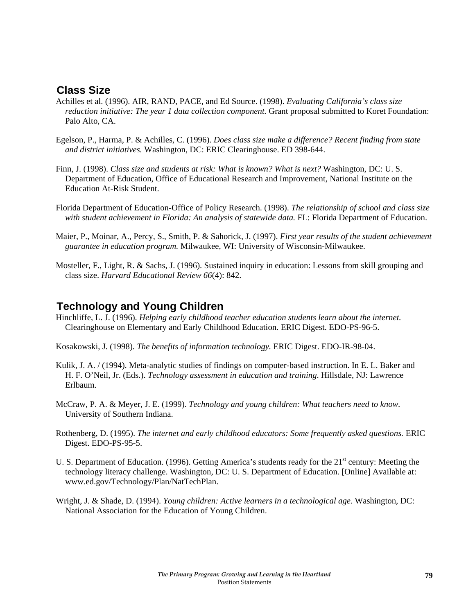#### **Class Size**

- Achilles et al. (1996). AIR, RAND, PACE, and Ed Source. (1998). *Evaluating California's class size reduction initiative: The year 1 data collection component.* Grant proposal submitted to Koret Foundation: Palo Alto, CA.
- Egelson, P., Harma, P. & Achilles, C. (1996). *Does class size make a difference? Recent finding from state and district initiatives.* Washington, DC: ERIC Clearinghouse. ED 398-644.
- Finn, J. (1998). *Class size and students at risk: What is known? What is next?* Washington, DC: U. S. Department of Education, Office of Educational Research and Improvement, National Institute on the Education At-Risk Student.
- Florida Department of Education-Office of Policy Research. (1998). *The relationship of school and class size*  with student achievement in Florida: An analysis of statewide data. FL: Florida Department of Education.
- Maier, P., Moinar, A., Percy, S., Smith, P. & Sahorick, J. (1997). *First year results of the student achievement guarantee in education program.* Milwaukee, WI: University of Wisconsin-Milwaukee.
- Mosteller, F., Light, R. & Sachs, J. (1996). Sustained inquiry in education: Lessons from skill grouping and class size. *Harvard Educational Review 66*(4): 842.

#### **Technology and Young Children**

Hinchliffe, L. J. (1996). *Helping early childhood teacher education students learn about the internet.* Clearinghouse on Elementary and Early Childhood Education. ERIC Digest. EDO-PS-96-5.

Kosakowski, J. (1998). *The benefits of information technology.* ERIC Digest. EDO-IR-98-04.

- Kulik, J. A. / (1994). Meta-analytic studies of findings on computer-based instruction. In E. L. Baker and H. F. O'Neil, Jr. (Eds.). *Technology assessment in education and training*. Hillsdale, NJ: Lawrence Erlbaum.
- McCraw, P. A. & Meyer, J. E. (1999). *Technology and young children: What teachers need to know.* University of Southern Indiana.
- Rothenberg, D. (1995). *The internet and early childhood educators: Some frequently asked questions.* ERIC Digest. EDO-PS-95-5.
- U. S. Department of Education. (1996). Getting America's students ready for the 21<sup>st</sup> century: Meeting the technology literacy challenge. Washington, DC: U. S. Department of Education. [Online] Available at: [www.ed.gov/Technology/Plan/NatTechPlan.](http://www.ed.gov/Technology/Plan/NatTechPlan)
- Wright, J. & Shade, D. (1994). *Young children: Active learners in a technological age.* Washington, DC: National Association for the Education of Young Children.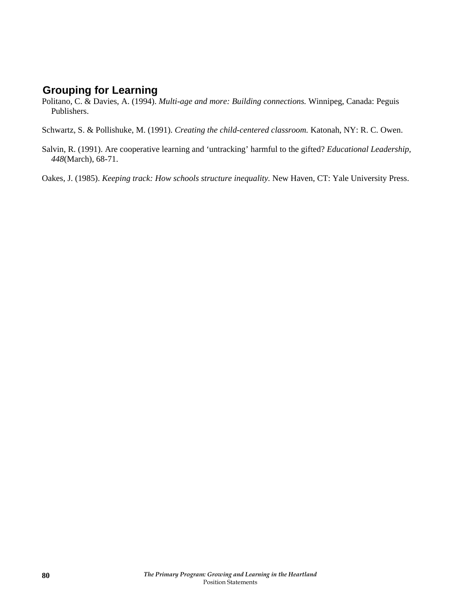### **Grouping for Learning**

Politano, C. & Davies, A. (1994). *Multi-age and more: Building connections.* Winnipeg, Canada: Peguis Publishers.

Schwartz, S. & Pollishuke, M. (1991). *Creating the child-centered classroom.* Katonah, NY: R. C. Owen.

Salvin, R. (1991). Are cooperative learning and 'untracking' harmful to the gifted? *Educational Leadership, 448*(March), 68-71.

Oakes, J. (1985). *Keeping track: How schools structure inequality.* New Haven, CT: Yale University Press.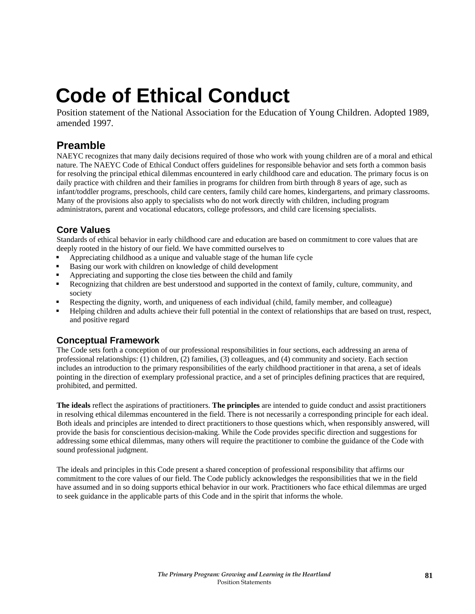# **Code of Ethical Conduct**

Position statement of the National Association for the Education of Young Children. Adopted 1989, amended 1997.

## **Preamble**

NAEYC recognizes that many daily decisions required of those who work with young children are of a moral and ethical nature. The NAEYC Code of Ethical Conduct offers guidelines for responsible behavior and sets forth a common basis for resolving the principal ethical dilemmas encountered in early childhood care and education. The primary focus is on daily practice with children and their families in programs for children from birth through 8 years of age, such as infant/toddler programs, preschools, child care centers, family child care homes, kindergartens, and primary classrooms. Many of the provisions also apply to specialists who do not work directly with children, including program administrators, parent and vocational educators, college professors, and child care licensing specialists.

#### **Core Values**

Standards of ethical behavior in early childhood care and education are based on commitment to core values that are deeply rooted in the history of our field. We have committed ourselves to

- Appreciating childhood as a unique and valuable stage of the human life cycle
- Basing our work with children on knowledge of child development
- Appreciating and supporting the close ties between the child and family
- Recognizing that children are best understood and supported in the context of family, culture, community, and society
- Respecting the dignity, worth, and uniqueness of each individual (child, family member, and colleague)
- Helping children and adults achieve their full potential in the context of relationships that are based on trust, respect, and positive regard

#### **Conceptual Framework**

The Code sets forth a conception of our professional responsibilities in four sections, each addressing an arena of professional relationships: (1) children, (2) families, (3) colleagues, and (4) community and society. Each section includes an introduction to the primary responsibilities of the early childhood practitioner in that arena, a set of ideals pointing in the direction of exemplary professional practice, and a set of principles defining practices that are required, prohibited, and permitted.

**The ideals** reflect the aspirations of practitioners. **The principles** are intended to guide conduct and assist practitioners in resolving ethical dilemmas encountered in the field. There is not necessarily a corresponding principle for each ideal. Both ideals and principles are intended to direct practitioners to those questions which, when responsibly answered, will provide the basis for conscientious decision-making. While the Code provides specific direction and suggestions for addressing some ethical dilemmas, many others will require the practitioner to combine the guidance of the Code with sound professional judgment.

The ideals and principles in this Code present a shared conception of professional responsibility that affirms our commitment to the core values of our field. The Code publicly acknowledges the responsibilities that we in the field have assumed and in so doing supports ethical behavior in our work. Practitioners who face ethical dilemmas are urged to seek guidance in the applicable parts of this Code and in the spirit that informs the whole.